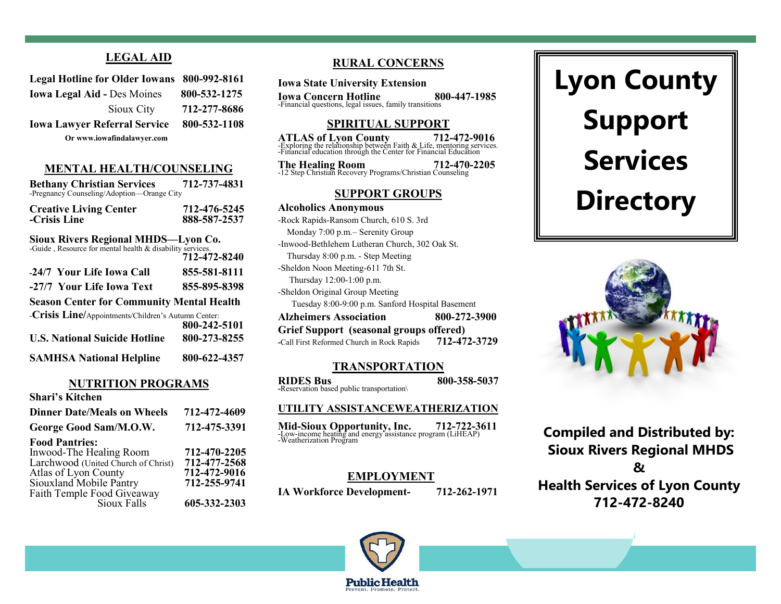# **LEGAL AID**

| Legal Hotline for Older Iowans 800-992-8161 |              |
|---------------------------------------------|--------------|
| <b>Iowa Legal Aid - Des Moines</b>          | 800-532-1275 |
| Sioux City                                  | 712-277-8686 |
| <b>Iowa Lawyer Referral Service</b>         | 800-532-1108 |
| Or www.iowafindalawyer.com                  |              |

### **MENTAL HEALTH/COUNSELING**

| <b>Bethany Christian Services</b><br>-Pregnancy Counseling/Adoption-Orange City                  | 712-737-4831                 |
|--------------------------------------------------------------------------------------------------|------------------------------|
| <b>Creative Living Center</b><br>-Crisis Line                                                    | 712-476-5245<br>888-587-2537 |
| Sioux Rivers Regional MHDS-Lyon Co.<br>-Guide, Resource for mental health & disability services. | 712-472-8240                 |
| -24/7 Your Life Iowa Call                                                                        | 855-581-8111                 |
| -27/7 Your Life Iowa Text                                                                        | 855-895-8398                 |
| <b>Season Center for Community Mental Health</b>                                                 |                              |

| -Crisis Line/Appointments/Children's Autumn Center: |              |
|-----------------------------------------------------|--------------|
|                                                     | 800-242-5101 |
| <b>U.S. National Suicide Hotline</b>                | 800-273-8255 |
| <b>SAMHSA National Helpline</b>                     | 800-622-4357 |

### **NUTRITION PROGRAMS**

| 712-472-4609 |
|--------------|
| 712-475-3391 |
|              |
| 712-470-2205 |
| 712-477-2568 |
| 712-472-9016 |
| 712-255-9741 |
|              |
| 605-332-2303 |
|              |

# **RURAL CONCERNS**

**Iowa State University Extension**

**Iowa Concern Hotline**<br>
-Financial questions, legal issues, family transitions

### **SPIRITUAL SUPPORT**

**ATLAS of Lyon County** 712-472-9016<br>
-Exploring the relationship between Faith & Life, mentoring services.<br>
-Financial education through the Center for Financial Education

**The Healing Room 712-470-2205** -12 Step Christian Recovery Programs/Christian Counseling

### **SUPPORT GROUPS**

**Alcoholics Anonymous** -Rock Rapids-Ransom Church, 610 S. 3rd Monday 7:00 p.m.– Serenity Group -Inwood-Bethlehem Lutheran Church, 302 Oak St. Thursday 8:00 p.m. - Step Meeting -Sheldon Noon Meeting-611 7th St. Thursday 12:00-1:00 p.m. -Sheldon Original Group Meeting Tuesday 8:00-9:00 p.m. Sanford Hospital Basement **Alzheimers Association 800-272-3900 Grief Support (seasonal groups offered) -**Call First Reformed Church in Rock Rapids **712-472-3729**

### **TRANSPORTATION**

**RIDES Bus 800-358-5037 -**Reservation based public transportation\

### **UTILITY ASSISTANCEWEATHERIZATION**

**Mid-Sioux Opportunity, Inc. 712-722-3611** -Low-income heating and energy assistance program (LiHEAP) -Weatherization Program

### **EMPLOYMENT**

**IA Workforce Development- 712-262-1971**

# **Lyon County Support Services Directory**



**Compiled and Distributed by: Sioux Rivers Regional MHDS & Health Services of Lyon County 712-472-8240**